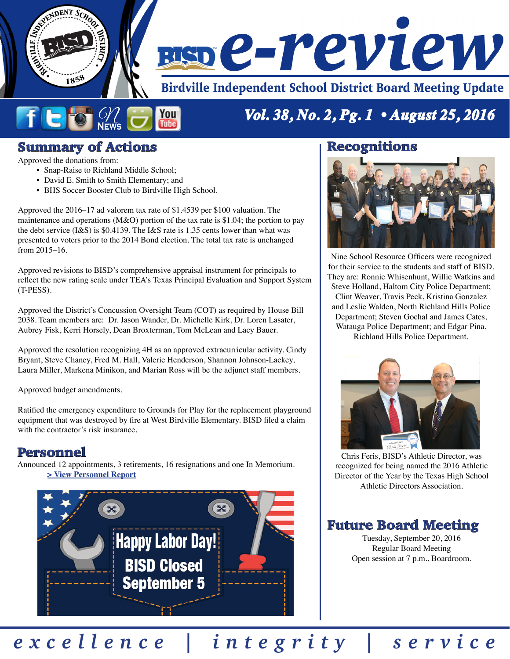

#### ficio You **Tube**

# *Vol. 38, No. 2, Pg. 1 • August 25, 2016*

#### Summary of Actions

Approved the donations from:

- Snap-Raise to Richland Middle School;
- David E. Smith to Smith Elementary; and
- BHS Soccer Booster Club to Birdville High School.

Approved the 2016–17 ad valorem tax rate of \$1.4539 per \$100 valuation. The maintenance and operations (M&O) portion of the tax rate is \$1.04; the portion to pay the debt service (I&S) is \$0.4139. The I&S rate is 1.35 cents lower than what was presented to voters prior to the 2014 Bond election. The total tax rate is unchanged from 2015–16.

Approved revisions to BISD's comprehensive appraisal instrument for principals to reflect the new rating scale under TEA's Texas Principal Evaluation and Support System (T-PESS).

Approved the District's Concussion Oversight Team (COT) as required by House Bill 2038. Team members are: Dr. Jason Wander, Dr. Michelle Kirk, Dr. Loren Lasater, Aubrey Fisk, Kerri Horsely, Dean Broxterman, Tom McLean and Lacy Bauer.

Approved the resolution recognizing 4H as an approved extracurricular activity. Cindy Bryant, Steve Chaney, Fred M. Hall, Valerie Henderson, Shannon Johnson-Lackey, Laura Miller, Markena Minikon, and Marian Ross will be the adjunct staff members.

Approved budget amendments.

Ratified the emergency expenditure to Grounds for Play for the replacement playground equipment that was destroyed by fire at West Birdville Elementary. BISD filed a claim with the contractor's risk insurance.

#### Personnel

Announced 12 appointments, 3 retirements, 16 resignations and one In Memorium. **[> View Personnel Report](http://w3.birdvilleschools.net/pr/board_reviews/reports/16082501personnel.pdf)**



#### Recognitions



Nine School Resource Officers were recognized for their service to the students and staff of BISD. They are: Ronnie Whisenhunt, Willie Watkins and Steve Holland, Haltom City Police Department; Clint Weaver, Travis Peck, Kristina Gonzalez and Leslie Walden, North Richland Hills Police Department; Steven Gochal and James Cates, Watauga Police Department; and Edgar Pina, Richland Hills Police Department.



Chris Feris, BISD's Athletic Director, was recognized for being named the 2016 Athletic Director of the Year by the Texas High School Athletic Directors Association.

#### Future Board Meeting

Tuesday, September 20, 2016 Regular Board Meeting Open session at 7 p.m., Boardroom.

*excellence | integrity | service*